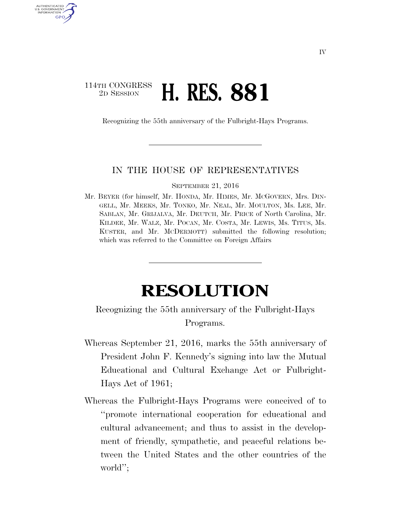## 114TH CONGRESS<br>2D SESSION 2D SESSION **H. RES. 881**

AUTHENTICATED U.S. GOVERNMENT GPO

Recognizing the 55th anniversary of the Fulbright-Hays Programs.

## IN THE HOUSE OF REPRESENTATIVES

SEPTEMBER 21, 2016

Mr. BEYER (for himself, Mr. HONDA, Mr. HIMES, Mr. MCGOVERN, Mrs. DIN-GELL, Mr. MEEKS, Mr. TONKO, Mr. NEAL, Mr. MOULTON, Ms. LEE, Mr. SABLAN, Mr. GRIJALVA, Mr. DEUTCH, Mr. PRICE of North Carolina, Mr. KILDEE, Mr. WALZ, Mr. POCAN, Mr. COSTA, Mr. LEWIS, Ms. TITUS, Ms. KUSTER, and Mr. MCDERMOTT) submitted the following resolution; which was referred to the Committee on Foreign Affairs

## **RESOLUTION**

## Recognizing the 55th anniversary of the Fulbright-Hays Programs.

- Whereas September 21, 2016, marks the 55th anniversary of President John F. Kennedy's signing into law the Mutual Educational and Cultural Exchange Act or Fulbright-Hays Act of 1961;
- Whereas the Fulbright-Hays Programs were conceived of to ''promote international cooperation for educational and cultural advancement; and thus to assist in the development of friendly, sympathetic, and peaceful relations between the United States and the other countries of the world'';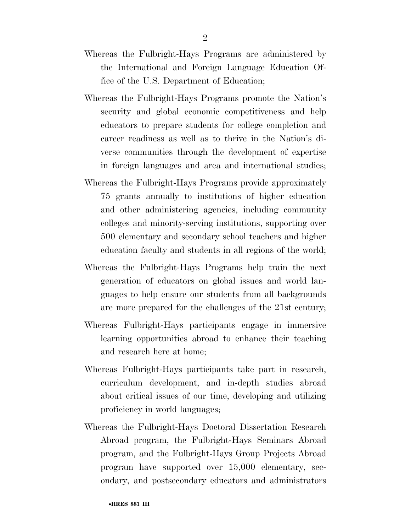- Whereas the Fulbright-Hays Programs are administered by the International and Foreign Language Education Office of the U.S. Department of Education;
- Whereas the Fulbright-Hays Programs promote the Nation's security and global economic competitiveness and help educators to prepare students for college completion and career readiness as well as to thrive in the Nation's diverse communities through the development of expertise in foreign languages and area and international studies;
- Whereas the Fulbright-Hays Programs provide approximately 75 grants annually to institutions of higher education and other administering agencies, including community colleges and minority-serving institutions, supporting over 500 elementary and secondary school teachers and higher education faculty and students in all regions of the world;
- Whereas the Fulbright-Hays Programs help train the next generation of educators on global issues and world languages to help ensure our students from all backgrounds are more prepared for the challenges of the 21st century;
- Whereas Fulbright-Hays participants engage in immersive learning opportunities abroad to enhance their teaching and research here at home;
- Whereas Fulbright-Hays participants take part in research, curriculum development, and in-depth studies abroad about critical issues of our time, developing and utilizing proficiency in world languages;
- Whereas the Fulbright-Hays Doctoral Dissertation Research Abroad program, the Fulbright-Hays Seminars Abroad program, and the Fulbright-Hays Group Projects Abroad program have supported over 15,000 elementary, secondary, and postsecondary educators and administrators